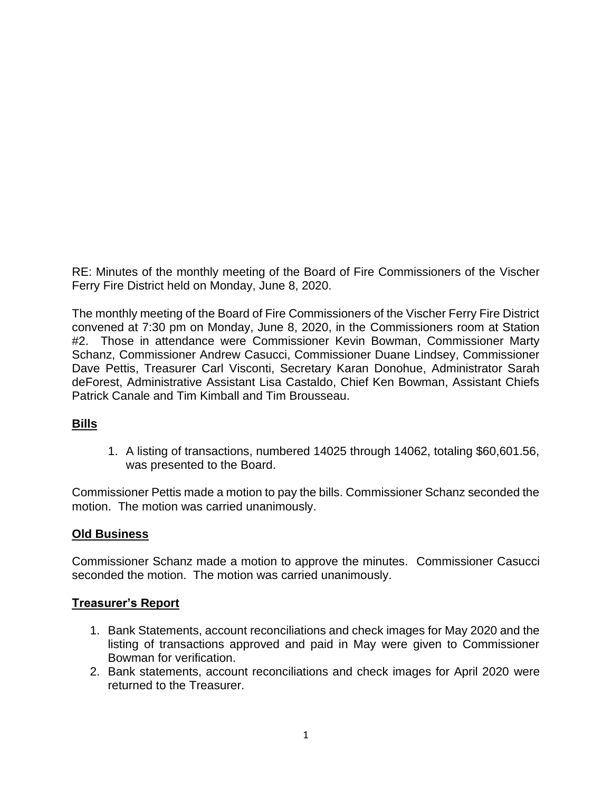RE: Minutes of the monthly meeting of the Board of Fire Commissioners of the Vischer Ferry Fire District held on Monday, June 8, 2020.

The monthly meeting of the Board of Fire Commissioners of the Vischer Ferry Fire District convened at 7:30 pm on Monday, June 8, 2020, in the Commissioners room at Station #2. Those in attendance were Commissioner Kevin Bowman, Commissioner Marty Schanz, Commissioner Andrew Casucci, Commissioner Duane Lindsey, Commissioner Dave Pettis, Treasurer Carl Visconti, Secretary Karan Donohue, Administrator Sarah deForest, Administrative Assistant Lisa Castaldo, Chief Ken Bowman, Assistant Chiefs Patrick Canale and Tim Kimball and Tim Brousseau.

### **Bills**

1. A listing of transactions, numbered 14025 through 14062, totaling \$60,601.56, was presented to the Board.

Commissioner Pettis made a motion to pay the bills. Commissioner Schanz seconded the motion. The motion was carried unanimously.

### **Old Business**

Commissioner Schanz made a motion to approve the minutes. Commissioner Casucci seconded the motion. The motion was carried unanimously.

#### **Treasurer's Report**

- 1. Bank Statements, account reconciliations and check images for May 2020 and the listing of transactions approved and paid in May were given to Commissioner Bowman for verification.
- 2. Bank statements, account reconciliations and check images for April 2020 were returned to the Treasurer.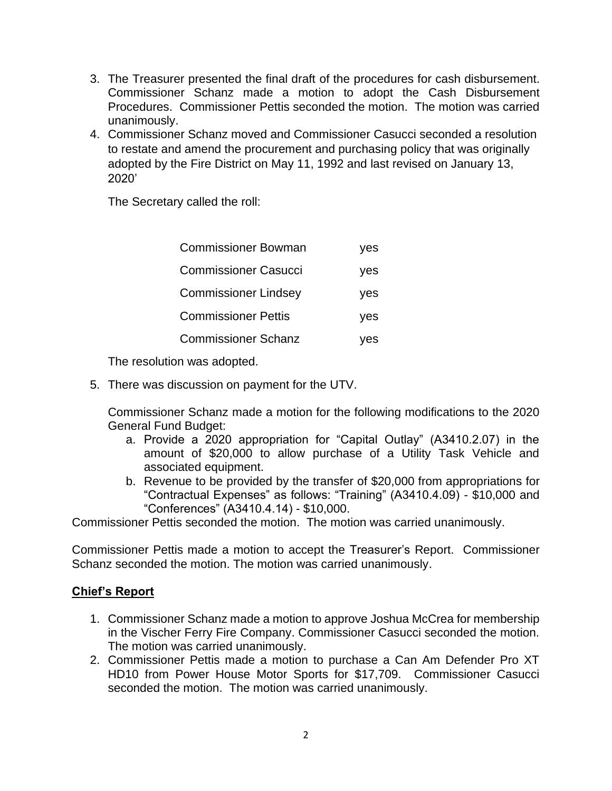- 3. The Treasurer presented the final draft of the procedures for cash disbursement. Commissioner Schanz made a motion to adopt the Cash Disbursement Procedures. Commissioner Pettis seconded the motion. The motion was carried unanimously.
- 4. Commissioner Schanz moved and Commissioner Casucci seconded a resolution to restate and amend the procurement and purchasing policy that was originally adopted by the Fire District on May 11, 1992 and last revised on January 13, 2020'

The Secretary called the roll:

| <b>Commissioner Bowman</b>  | yes |
|-----------------------------|-----|
| <b>Commissioner Casucci</b> | yes |
| <b>Commissioner Lindsey</b> | yes |
| <b>Commissioner Pettis</b>  | yes |
| <b>Commissioner Schanz</b>  | ves |

The resolution was adopted.

5. There was discussion on payment for the UTV.

Commissioner Schanz made a motion for the following modifications to the 2020 General Fund Budget:

- a. Provide a 2020 appropriation for "Capital Outlay" (A3410.2.07) in the amount of \$20,000 to allow purchase of a Utility Task Vehicle and associated equipment.
- b. Revenue to be provided by the transfer of \$20,000 from appropriations for "Contractual Expenses" as follows: "Training" (A3410.4.09) - \$10,000 and "Conferences" (A3410.4.14) - \$10,000.

Commissioner Pettis seconded the motion. The motion was carried unanimously.

Commissioner Pettis made a motion to accept the Treasurer's Report. Commissioner Schanz seconded the motion. The motion was carried unanimously.

#### **Chief's Report**

- 1. Commissioner Schanz made a motion to approve Joshua McCrea for membership in the Vischer Ferry Fire Company. Commissioner Casucci seconded the motion. The motion was carried unanimously.
- 2. Commissioner Pettis made a motion to purchase a Can Am Defender Pro XT HD10 from Power House Motor Sports for \$17,709. Commissioner Casucci seconded the motion. The motion was carried unanimously.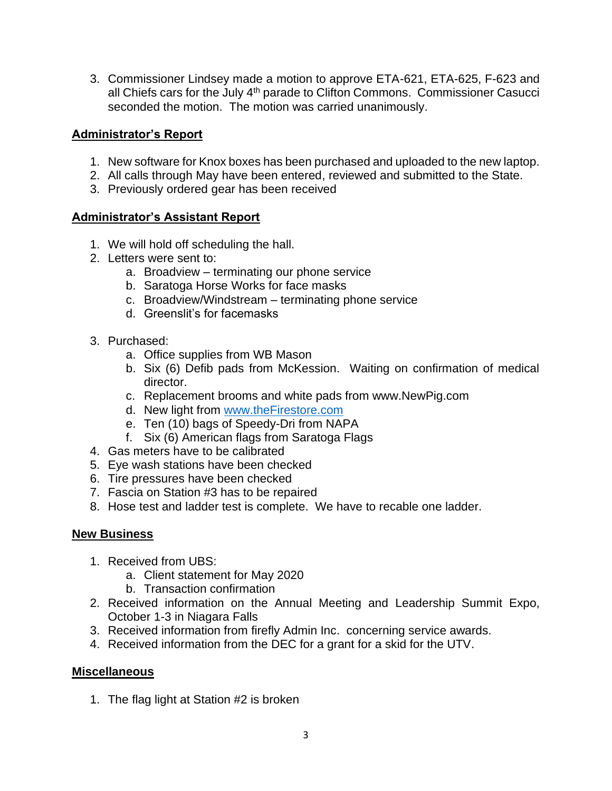3. Commissioner Lindsey made a motion to approve ETA-621, ETA-625, F-623 and all Chiefs cars for the July 4<sup>th</sup> parade to Clifton Commons. Commissioner Casucci seconded the motion. The motion was carried unanimously.

### **Administrator's Report**

- 1. New software for Knox boxes has been purchased and uploaded to the new laptop.
- 2. All calls through May have been entered, reviewed and submitted to the State.
- 3. Previously ordered gear has been received

## **Administrator's Assistant Report**

- 1. We will hold off scheduling the hall.
- 2. Letters were sent to:
	- a. Broadview terminating our phone service
	- b. Saratoga Horse Works for face masks
	- c. Broadview/Windstream terminating phone service
	- d. Greenslit's for facemasks
- 3. Purchased:
	- a. Office supplies from WB Mason
	- b. Six (6) Defib pads from McKession. Waiting on confirmation of medical director.
	- c. Replacement brooms and white pads from www.NewPig.com
	- d. New light from [www.theFirestore.com](http://www.thefirestore.com/)
	- e. Ten (10) bags of Speedy-Dri from NAPA
	- f. Six (6) American flags from Saratoga Flags
- 4. Gas meters have to be calibrated
- 5. Eye wash stations have been checked
- 6. Tire pressures have been checked
- 7. Fascia on Station #3 has to be repaired
- 8. Hose test and ladder test is complete. We have to recable one ladder.

### **New Business**

- 1. Received from UBS:
	- a. Client statement for May 2020
	- b. Transaction confirmation
- 2. Received information on the Annual Meeting and Leadership Summit Expo, October 1-3 in Niagara Falls
- 3. Received information from firefly Admin Inc. concerning service awards.
- 4. Received information from the DEC for a grant for a skid for the UTV.

# **Miscellaneous**

1. The flag light at Station #2 is broken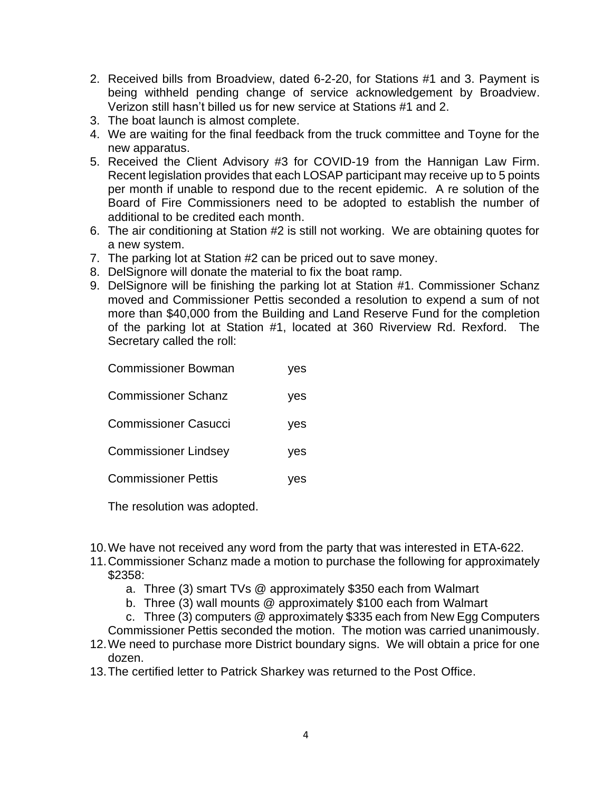- 2. Received bills from Broadview, dated 6-2-20, for Stations #1 and 3. Payment is being withheld pending change of service acknowledgement by Broadview. Verizon still hasn't billed us for new service at Stations #1 and 2.
- 3. The boat launch is almost complete.
- 4. We are waiting for the final feedback from the truck committee and Toyne for the new apparatus.
- 5. Received the Client Advisory #3 for COVID-19 from the Hannigan Law Firm. Recent legislation provides that each LOSAP participant may receive up to 5 points per month if unable to respond due to the recent epidemic. A re solution of the Board of Fire Commissioners need to be adopted to establish the number of additional to be credited each month.
- 6. The air conditioning at Station #2 is still not working. We are obtaining quotes for a new system.
- 7. The parking lot at Station #2 can be priced out to save money.
- 8. DelSignore will donate the material to fix the boat ramp.
- 9. DelSignore will be finishing the parking lot at Station #1. Commissioner Schanz moved and Commissioner Pettis seconded a resolution to expend a sum of not more than \$40,000 from the Building and Land Reserve Fund for the completion of the parking lot at Station #1, located at 360 Riverview Rd. Rexford. The Secretary called the roll:

| <b>Commissioner Bowman</b>  | ves |
|-----------------------------|-----|
| <b>Commissioner Schanz</b>  | yes |
| <b>Commissioner Casucci</b> | yes |
| <b>Commissioner Lindsey</b> | yes |
| <b>Commissioner Pettis</b>  | yes |

The resolution was adopted.

- 10.We have not received any word from the party that was interested in ETA-622.
- 11.Commissioner Schanz made a motion to purchase the following for approximately \$2358:
	- a. Three (3) smart TVs @ approximately \$350 each from Walmart
	- b. Three (3) wall mounts @ approximately \$100 each from Walmart
	- c. Three (3) computers @ approximately \$335 each from New Egg Computers
	- Commissioner Pettis seconded the motion. The motion was carried unanimously.
- 12.We need to purchase more District boundary signs. We will obtain a price for one dozen.
- 13.The certified letter to Patrick Sharkey was returned to the Post Office.